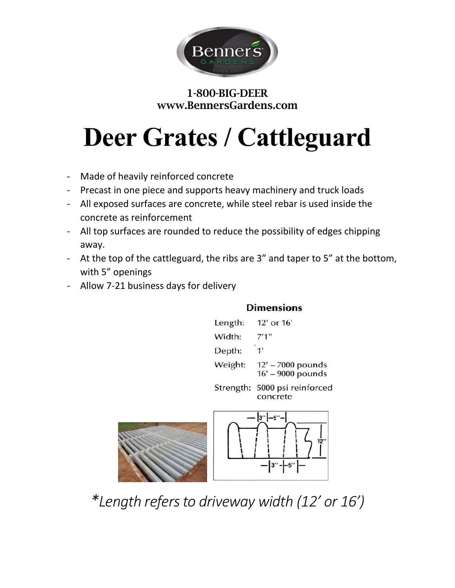

### 1-800-BIG-DEER www.BennersGardens.com

# **Deer Grates / Cattleguard**

- Made of heavily reinforced concrete
- Precast in one piece and supports heavy machinery and truck loads
- All exposed surfaces are concrete, while steel rebar is used inside the concrete as reinforcement
- All top surfaces are rounded to reduce the possibility of edges chipping away.
- At the top of the cattleguard, the ribs are 3" and taper to 5" at the bottom, with 5" openings
- Allow 7-21 business days for delivery

#### **Dimensions**

 $\frac{3'' - -5''}{2}$ 



*\*Length refers to driveway width (12' or 16')*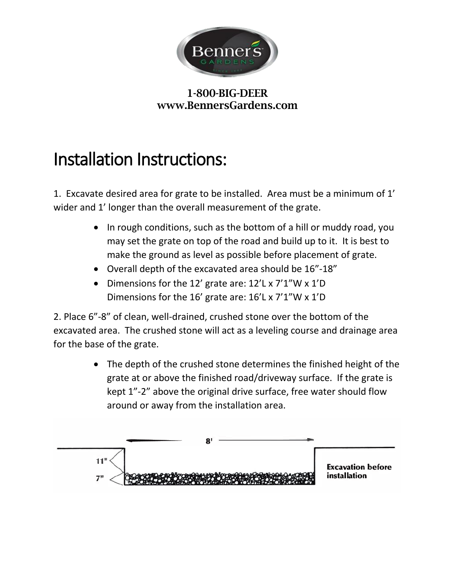

#### 1-800-BIG-DEER www.BennersGardens.com

## Installation Instructions:

1. Excavate desired area for grate to be installed. Area must be a minimum of 1' wider and 1' longer than the overall measurement of the grate.

- In rough conditions, such as the bottom of a hill or muddy road, you may set the grate on top of the road and build up to it. It is best to make the ground as level as possible before placement of grate.
- Overall depth of the excavated area should be 16"-18"
- Dimensions for the 12' grate are: 12'L x 7'1"W x 1'D Dimensions for the 16' grate are: 16'L x 7'1"W x 1'D

2. Place 6"-8" of clean, well-drained, crushed stone over the bottom of the excavated area. The crushed stone will act as a leveling course and drainage area for the base of the grate.

> • The depth of the crushed stone determines the finished height of the grate at or above the finished road/driveway surface. If the grate is kept 1"-2" above the original drive surface, free water should flow around or away from the installation area.